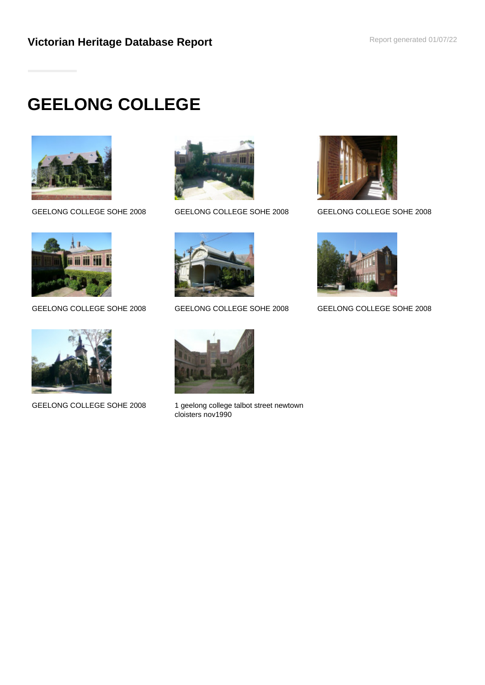# **GEELONG COLLEGE**









GEELONG COLLEGE SOHE 2008 GEELONG COLLEGE SOHE 2008 GEELONG COLLEGE SOHE 2008





GEELONG COLLEGE SOHE 2008 1 geelong college talbot street newtown cloisters nov1990





GEELONG COLLEGE SOHE 2008 GEELONG COLLEGE SOHE 2008 GEELONG COLLEGE SOHE 2008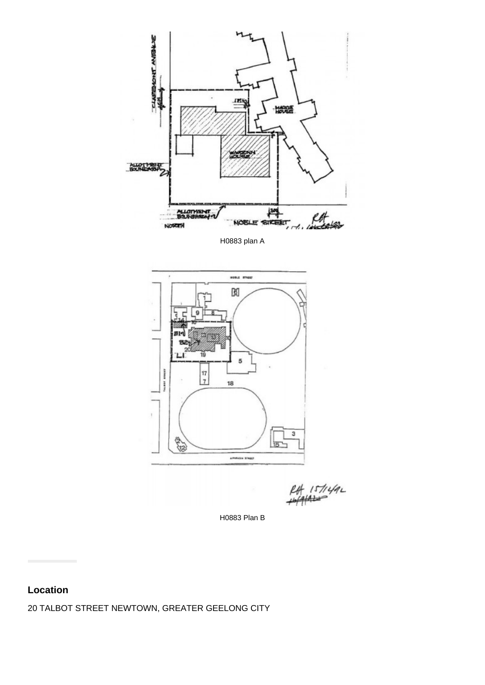

H0883 plan A



H0883 Plan B

# **Location**

20 TALBOT STREET NEWTOWN, GREATER GEELONG CITY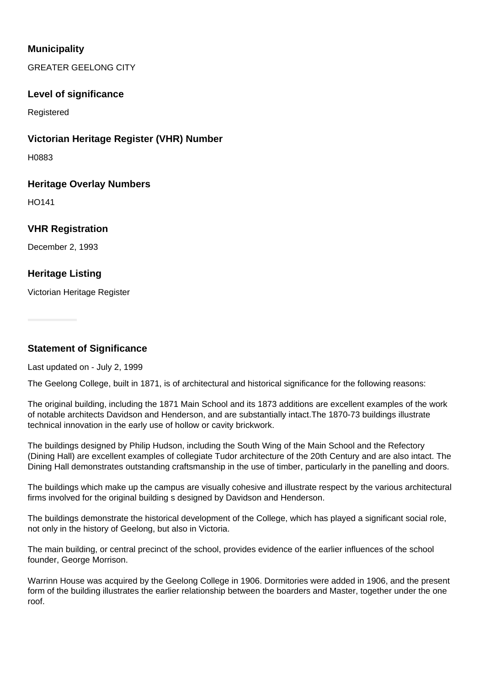## **Municipality**

GREATER GEELONG CITY

#### **Level of significance**

Registered

#### **Victorian Heritage Register (VHR) Number**

H0883

#### **Heritage Overlay Numbers**

HO141

### **VHR Registration**

December 2, 1993

## **Heritage Listing**

Victorian Heritage Register

**Statement of Significance**

#### Last updated on - July 2, 1999

The Geelong College, built in 1871, is of architectural and historical significance for the following reasons:

The original building, including the 1871 Main School and its 1873 additions are excellent examples of the work of notable architects Davidson and Henderson, and are substantially intact.The 1870-73 buildings illustrate technical innovation in the early use of hollow or cavity brickwork.

The buildings designed by Philip Hudson, including the South Wing of the Main School and the Refectory (Dining Hall) are excellent examples of collegiate Tudor architecture of the 20th Century and are also intact. The Dining Hall demonstrates outstanding craftsmanship in the use of timber, particularly in the panelling and doors.

The buildings which make up the campus are visually cohesive and illustrate respect by the various architectural firms involved for the original building s designed by Davidson and Henderson.

The buildings demonstrate the historical development of the College, which has played a significant social role, not only in the history of Geelong, but also in Victoria.

The main building, or central precinct of the school, provides evidence of the earlier influences of the school founder, George Morrison.

Warrinn House was acquired by the Geelong College in 1906. Dormitories were added in 1906, and the present form of the building illustrates the earlier relationship between the boarders and Master, together under the one roof.